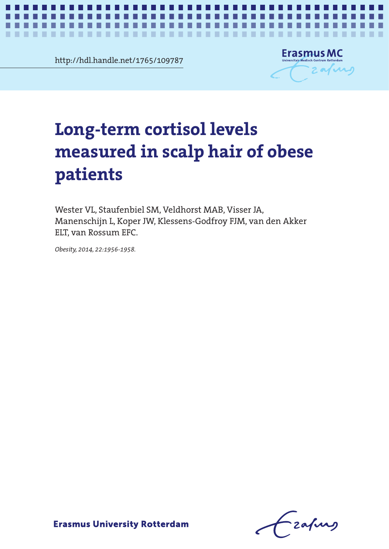http://hdl.handle.net/1765/109787



# erm cortisol levels<br>|red in scalp hair of obese<br>|ts measured in scalp hair of **measured in scalp hair of obese Long-term cortisol levels patients**

*Hair cortisol in obesity* **1**

ELT, van Rossum EFC. Wester VL, Staufenbiel SM, Veldhorst MAB, Visser JA, Manenschijn L, Koper JW, Klessens-Godfroy FJM, van den Akker

Manenschijn L, Koper JW, Klessens-Godfroy FJM, van den *Obesity, 2014, 22:1956-1958.*

Frafing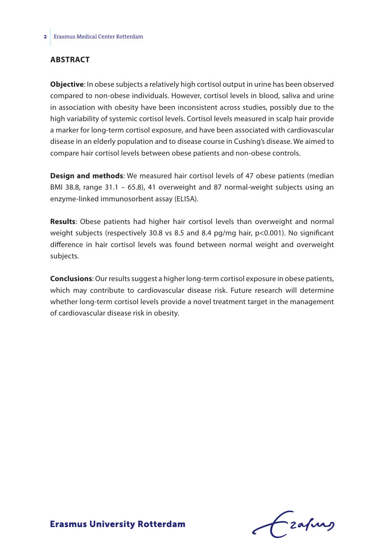#### **Abstract**

**Objective**: In obese subjects a relatively high cortisol output in urine has been observed compared to non-obese individuals. However, cortisol levels in blood, saliva and urine in association with obesity have been inconsistent across studies, possibly due to the high variability of systemic cortisol levels. Cortisol levels measured in scalp hair provide a marker for long-term cortisol exposure, and have been associated with cardiovascular disease in an elderly population and to disease course in Cushing's disease. We aimed to compare hair cortisol levels between obese patients and non-obese controls.

**Design and methods**: We measured hair cortisol levels of 47 obese patients (median BMI 38.8, range 31.1 – 65.8), 41 overweight and 87 normal-weight subjects using an enzyme-linked immunosorbent assay (ELISA).

**Results**: Obese patients had higher hair cortisol levels than overweight and normal weight subjects (respectively 30.8 vs 8.5 and 8.4 pg/mg hair, p<0.001). No significant difference in hair cortisol levels was found between normal weight and overweight subjects.

**Conclusions**: Our results suggest a higher long-term cortisol exposure in obese patients, which may contribute to cardiovascular disease risk. Future research will determine whether long-term cortisol levels provide a novel treatment target in the management of cardiovascular disease risk in obesity.

frafing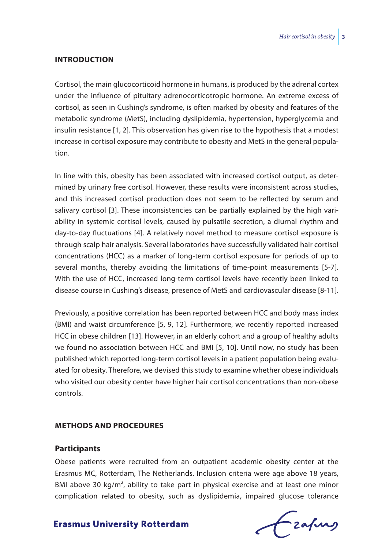#### **Introduction**

Cortisol, the main glucocorticoid hormone in humans, is produced by the adrenal cortex under the influence of pituitary adrenocorticotropic hormone. An extreme excess of cortisol, as seen in Cushing's syndrome, is often marked by obesity and features of the metabolic syndrome (MetS), including dyslipidemia, hypertension, hyperglycemia and insulin resistance [1, 2]. This observation has given rise to the hypothesis that a modest increase in cortisol exposure may contribute to obesity and MetS in the general population.

In line with this, obesity has been associated with increased cortisol output, as determined by urinary free cortisol. However, these results were inconsistent across studies, and this increased cortisol production does not seem to be reflected by serum and salivary cortisol [3]. These inconsistencies can be partially explained by the high variability in systemic cortisol levels, caused by pulsatile secretion, a diurnal rhythm and day-to-day fluctuations [4]. A relatively novel method to measure cortisol exposure is through scalp hair analysis. Several laboratories have successfully validated hair cortisol concentrations (HCC) as a marker of long-term cortisol exposure for periods of up to several months, thereby avoiding the limitations of time-point measurements [5-7]. With the use of HCC, increased long-term cortisol levels have recently been linked to disease course in Cushing's disease, presence of MetS and cardiovascular disease [8-11].

Previously, a positive correlation has been reported between HCC and body mass index (BMI) and waist circumference [5, 9, 12]. Furthermore, we recently reported increased HCC in obese children [13]. However, in an elderly cohort and a group of healthy adults we found no association between HCC and BMI [5, 10]. Until now, no study has been published which reported long-term cortisol levels in a patient population being evaluated for obesity. Therefore, we devised this study to examine whether obese individuals who visited our obesity center have higher hair cortisol concentrations than non-obese controls.

#### **Methods and procedures**

#### **Participants**

Obese patients were recruited from an outpatient academic obesity center at the Erasmus MC, Rotterdam, The Netherlands. Inclusion criteria were age above 18 years, BMI above 30  $kg/m^2$ , ability to take part in physical exercise and at least one minor complication related to obesity, such as dyslipidemia, impaired glucose tolerance

Czafing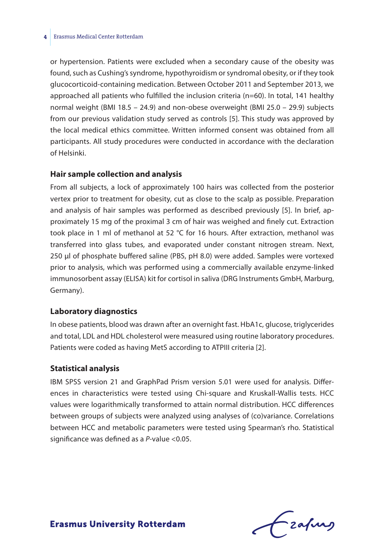#### **4** Erasmus Medical Center Rotterdam

or hypertension. Patients were excluded when a secondary cause of the obesity was found, such as Cushing's syndrome, hypothyroidism or syndromal obesity, or if they took glucocorticoid-containing medication. Between October 2011 and September 2013, we approached all patients who fulfilled the inclusion criteria (n=60). In total, 141 healthy normal weight (BMI 18.5 – 24.9) and non-obese overweight (BMI 25.0 – 29.9) subjects from our previous validation study served as controls [5]. This study was approved by the local medical ethics committee. Written informed consent was obtained from all participants. All study procedures were conducted in accordance with the declaration of Helsinki.

#### **Hair sample collection and analysis**

From all subjects, a lock of approximately 100 hairs was collected from the posterior vertex prior to treatment for obesity, cut as close to the scalp as possible. Preparation and analysis of hair samples was performed as described previously [5]. In brief, approximately 15 mg of the proximal 3 cm of hair was weighed and finely cut. Extraction took place in 1 ml of methanol at 52 °C for 16 hours. After extraction, methanol was transferred into glass tubes, and evaporated under constant nitrogen stream. Next, 250 μl of phosphate buffered saline (PBS, pH 8.0) were added. Samples were vortexed prior to analysis, which was performed using a commercially available enzyme-linked immunosorbent assay (ELISA) kit for cortisol in saliva (DRG Instruments GmbH, Marburg, Germany).

#### **Laboratory diagnostics**

In obese patients, blood was drawn after an overnight fast. HbA1c, glucose, triglycerides and total, LDL and HDL cholesterol were measured using routine laboratory procedures. Patients were coded as having MetS according to ATPIII criteria [2].

#### **Statistical analysis**

IBM SPSS version 21 and GraphPad Prism version 5.01 were used for analysis. Differences in characteristics were tested using Chi-square and Kruskall-Wallis tests. HCC values were logarithmically transformed to attain normal distribution. HCC differences between groups of subjects were analyzed using analyses of (co)variance. Correlations between HCC and metabolic parameters were tested using Spearman's rho. Statistical significance was defined as a *P*-value <0.05.

Frafing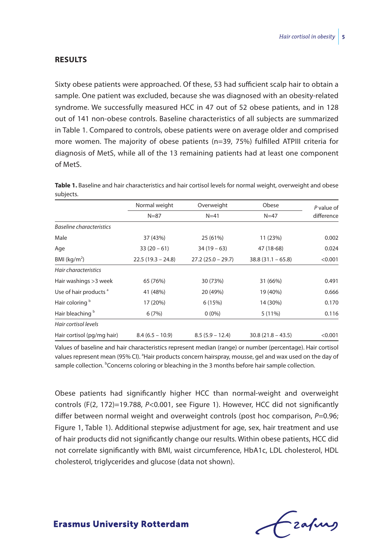#### **Results**

Sixty obese patients were approached. Of these, 53 had sufficient scalp hair to obtain a sample. One patient was excluded, because she was diagnosed with an obesity-related syndrome. We successfully measured HCC in 47 out of 52 obese patients, and in 128 out of 141 non-obese controls. Baseline characteristics of all subjects are summarized in Table 1. Compared to controls, obese patients were on average older and comprised more women. The majority of obese patients (n=39, 75%) fulfilled ATPIII criteria for diagnosis of MetS, while all of the 13 remaining patients had at least one component of MetS.

**Table 1.** Baseline and hair characteristics and hair cortisol levels for normal weight, overweight and obese subjects.

|                                   | Normal weight<br>$N = 87$ | Overweight<br>$N=41$ | Obese<br>$N = 47$   | P value of<br>difference |
|-----------------------------------|---------------------------|----------------------|---------------------|--------------------------|
|                                   |                           |                      |                     |                          |
| <b>Baseline characteristics</b>   |                           |                      |                     |                          |
| Male                              | 37 (43%)                  | 25 (61%)             | 11 (23%)            | 0.002                    |
| Age                               | $33(20-61)$               | $34(19-63)$          | 47 (18-68)          | 0.024                    |
| BMI ( $kg/m2$ )                   | $22.5(19.3 - 24.8)$       | $27.2(25.0 - 29.7)$  | $38.8(31.1 - 65.8)$ | < 0.001                  |
| Hair characteristics              |                           |                      |                     |                          |
| Hair washings > 3 week            | 65 (76%)                  | 30 (73%)             | 31 (66%)            | 0.491                    |
| Use of hair products <sup>a</sup> | 41 (48%)                  | 20 (49%)             | 19 (40%)            | 0.666                    |
| Hair coloring b                   | 17 (20%)                  | 6(15%)               | 14 (30%)            | 0.170                    |
| Hair bleaching <sup>b</sup>       | 6(7%)                     | $0(0\%)$             | 5 (11%)             | 0.116                    |
| Hair cortisol levels              |                           |                      |                     |                          |
| Hair cortisol (pg/mg hair)        | $8.4(6.5 - 10.9)$         | $8.5(5.9 - 12.4)$    | $30.8(21.8 - 43.5)$ | < 0.001                  |

Values of baseline and hair characteristics represent median (range) or number (percentage). Hair cortisol values represent mean (95% CI). <sup>a</sup>Hair products concern hairspray, mousse, gel and wax used on the day of sample collection. <sup>b</sup>Concerns coloring or bleaching in the 3 months before hair sample collection.

Obese patients had significantly higher HCC than normal-weight and overweight controls (F(2, 172)=19.788, *P*<0.001, see Figure 1). However, HCC did not significantly differ between normal weight and overweight controls (post hoc comparison,  $P=0.96$ ; Figure 1, Table 1). Additional stepwise adjustment for age, sex, hair treatment and use of hair products did not significantly change our results. Within obese patients, HCC did not correlate significantly with BMI, waist circumference, HbA1c, LDL cholesterol, HDL cholesterol, triglycerides and glucose (data not shown).

frafing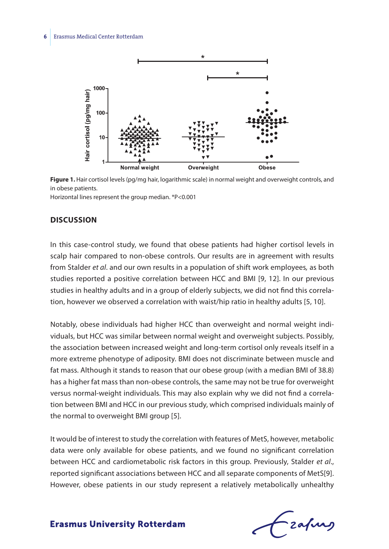

**Figure 1.** Hair cortisol levels (pg/mg hair, logarithmic scale) in normal weight and overweight controls, and in obese patients.

Horizontal lines represent the group median. \*P<0.001

#### **Discussion**

In this case-control study, we found that obese patients had higher cortisol levels in scalp hair compared to non-obese controls. Our results are in agreement with results from Stalder *et al*. and our own results in a population of shift work employees*,* as both studies reported a positive correlation between HCC and BMI [9, 12]. In our previous studies in healthy adults and in a group of elderly subjects, we did not find this correlation, however we observed a correlation with waist/hip ratio in healthy adults [5, 10].

Notably, obese individuals had higher HCC than overweight and normal weight individuals, but HCC was similar between normal weight and overweight subjects. Possibly, the association between increased weight and long-term cortisol only reveals itself in a more extreme phenotype of adiposity. BMI does not discriminate between muscle and fat mass. Although it stands to reason that our obese group (with a median BMI of 38.8) has a higher fat mass than non-obese controls, the same may not be true for overweight versus normal-weight individuals. This may also explain why we did not find a correlation between BMI and HCC in our previous study, which comprised individuals mainly of the normal to overweight BMI group [5].

It would be of interest to study the correlation with features of MetS, however, metabolic data were only available for obese patients, and we found no significant correlation between HCC and cardiometabolic risk factors in this group. Previously, Stalder *et al*., reported significant associations between HCC and all separate components of MetS[9]. However, obese patients in our study represent a relatively metabolically unhealthy

- zafung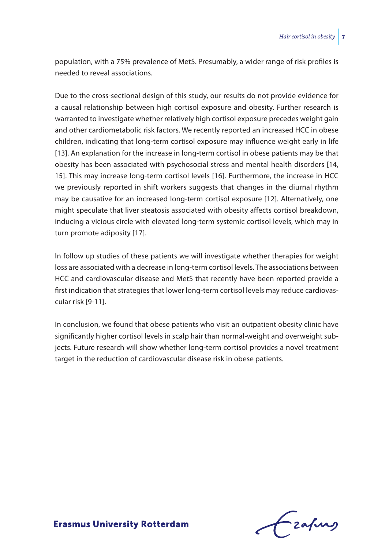population, with a 75% prevalence of MetS. Presumably, a wider range of risk profiles is needed to reveal associations.

Due to the cross-sectional design of this study, our results do not provide evidence for a causal relationship between high cortisol exposure and obesity. Further research is warranted to investigate whether relatively high cortisol exposure precedes weight gain and other cardiometabolic risk factors. We recently reported an increased HCC in obese children, indicating that long-term cortisol exposure may influence weight early in life [13]. An explanation for the increase in long-term cortisol in obese patients may be that obesity has been associated with psychosocial stress and mental health disorders [14, 15]. This may increase long-term cortisol levels [16]. Furthermore, the increase in HCC we previously reported in shift workers suggests that changes in the diurnal rhythm may be causative for an increased long-term cortisol exposure [12]. Alternatively, one might speculate that liver steatosis associated with obesity affects cortisol breakdown, inducing a vicious circle with elevated long-term systemic cortisol levels, which may in turn promote adiposity [17].

In follow up studies of these patients we will investigate whether therapies for weight loss are associated with a decrease in long-term cortisol levels. The associations between HCC and cardiovascular disease and MetS that recently have been reported provide a first indication that strategies that lower long-term cortisol levels may reduce cardiovascular risk [9-11].

In conclusion, we found that obese patients who visit an outpatient obesity clinic have significantly higher cortisol levels in scalp hair than normal-weight and overweight subjects. Future research will show whether long-term cortisol provides a novel treatment target in the reduction of cardiovascular disease risk in obese patients.